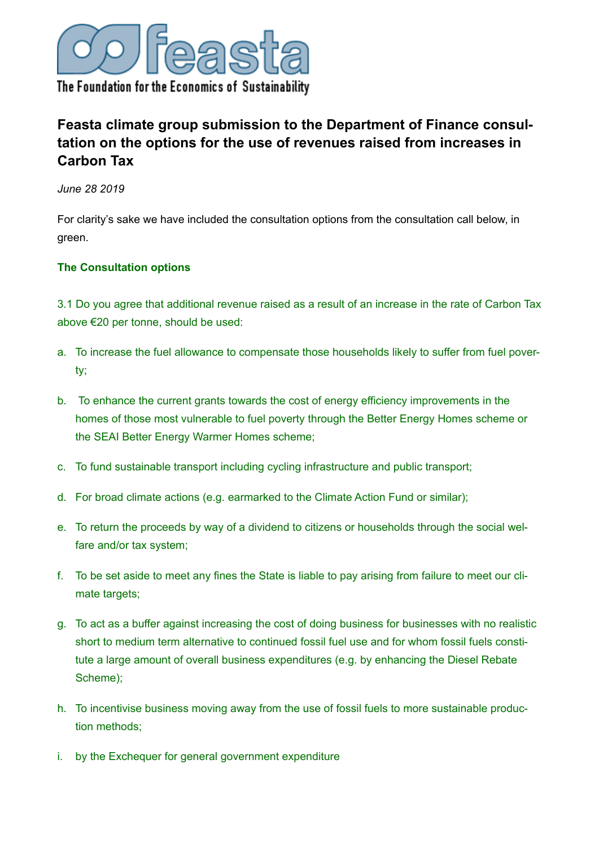

# **Feasta climate group submission to the Department of Finance consultation on the options for the use of revenues raised from increases in Carbon Tax**

*June 28 2019*

For clarity's sake we have included the consultation options from the consultation call below, in green.

#### **The Consultation options**

3.1 Do you agree that additional revenue raised as a result of an increase in the rate of Carbon Tax above €20 per tonne, should be used:

- a. To increase the fuel allowance to compensate those households likely to suffer from fuel poverty;
- b. To enhance the current grants towards the cost of energy efficiency improvements in the homes of those most vulnerable to fuel poverty through the Better Energy Homes scheme or the SEAI Better Energy Warmer Homes scheme;
- c. To fund sustainable transport including cycling infrastructure and public transport;
- d. For broad climate actions (e.g. earmarked to the Climate Action Fund or similar);
- e. To return the proceeds by way of a dividend to citizens or households through the social welfare and/or tax system;
- f. To be set aside to meet any fines the State is liable to pay arising from failure to meet our climate targets;
- g. To act as a buffer against increasing the cost of doing business for businesses with no realistic short to medium term alternative to continued fossil fuel use and for whom fossil fuels constitute a large amount of overall business expenditures (e.g. by enhancing the Diesel Rebate Scheme);
- h. To incentivise business moving away from the use of fossil fuels to more sustainable production methods;
- i. by the Exchequer for general government expenditure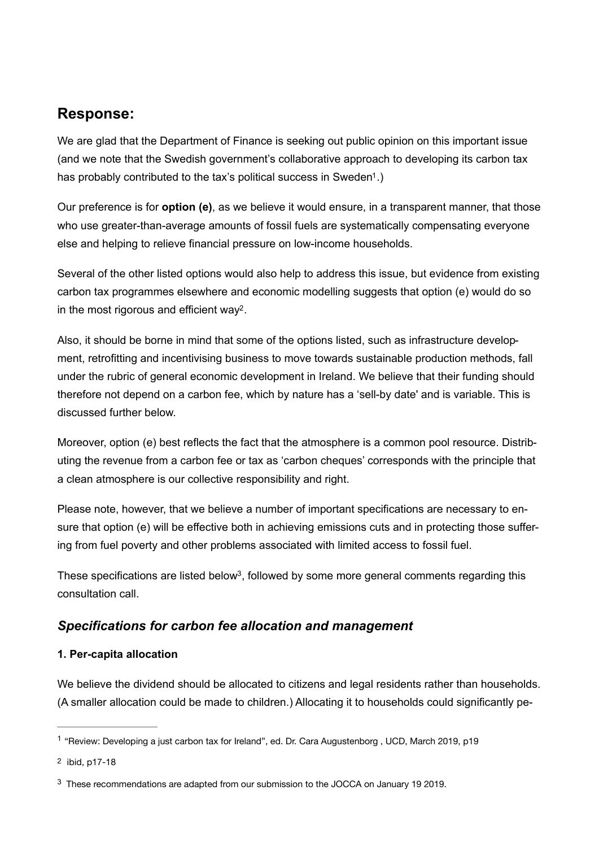## **Response:**

We are glad that the Department of Finance is seeking out public opinion on this important issue (and we note that the Swedish government's collaborative approach to developing its carbon tax has probably contributed to the tax's political success in Sweden<sup>[1](#page-1-0)</sup>.)

<span id="page-1-3"></span>Our preference is for **option (e)**, as we believe it would ensure, in a transparent manner, that those who use greater-than-average amounts of fossil fuels are systematically compensating everyone else and helping to relieve financial pressure on low-income households.

Several of the other listed options would also help to address this issue, but evidence from existing carbon tax programmes elsewhere and economic modelling suggests that option (e) would do so in the most rigorous and efficient way<sup>[2](#page-1-1)</sup>.

<span id="page-1-4"></span>Also, it should be borne in mind that some of the options listed, such as infrastructure development, retrofitting and incentivising business to move towards sustainable production methods, fall under the rubric of general economic development in Ireland. We believe that their funding should therefore not depend on a carbon fee, which by nature has a 'sell-by date' and is variable. This is discussed further below.

Moreover, option (e) best reflects the fact that the atmosphere is a common pool resource. Distributing the revenue from a carbon fee or tax as 'carbon cheques' corresponds with the principle that a clean atmosphere is our collective responsibility and right.

Please note, however, that we believe a number of important specifications are necessary to ensure that option (e) will be effective both in achieving emissions cuts and in protecting those suffering from fuel poverty and other problems associated with limited access to fossil fuel.

<span id="page-1-5"></span>These specifications are listed below<sup>[3](#page-1-2)</sup>, followed by some more general comments regarding this consultation call.

## *Specifications for carbon fee allocation and management*

#### **1. Per-capita allocation**

We believe the dividend should be allocated to citizens and legal residents rather than households. (A smaller allocation could be made to children.) Allocating it to households could significantly pe-

<span id="page-1-0"></span><sup>&</sup>lt;sup>[1](#page-1-3)</sup> "Review: Developing a just carbon tax for Ireland", ed. Dr. Cara Augustenborg , UCD, March 2019, p19

<span id="page-1-1"></span>[<sup>2</sup>](#page-1-4) ibid, p17-18

<span id="page-1-2"></span><sup>&</sup>lt;sup>[3](#page-1-5)</sup> These recommendations are adapted from our submission to the JOCCA on January 19 2019.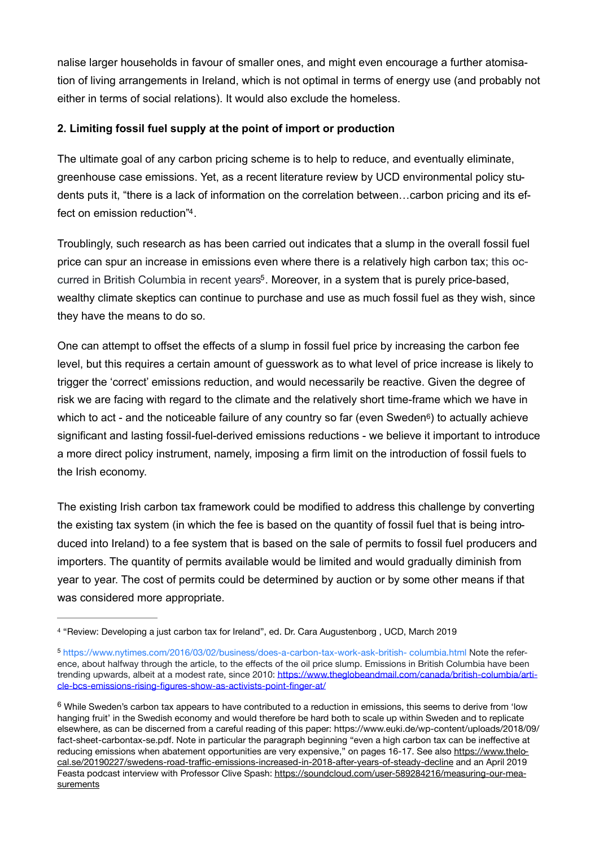nalise larger households in favour of smaller ones, and might even encourage a further atomisation of living arrangements in Ireland, which is not optimal in terms of energy use (and probably not either in terms of social relations). It would also exclude the homeless.

#### **2. Limiting fossil fuel supply at the point of import or production**

The ultimate goal of any carbon pricing scheme is to help to reduce, and eventually eliminate, greenhouse case emissions. Yet, as a recent literature review by UCD environmental policy students puts it, "there is a lack of information on the correlation between…carbon pricing and its ef-fect on emission reduction"[4](#page-2-0).

<span id="page-2-4"></span><span id="page-2-3"></span>Troublingly, such research as has been carried out indicates that a slump in the overall fossil fuel price can spur an increase in emissions even where there is a relatively high carbon tax; this oc-curred in British Columbia in recent years<sup>[5](#page-2-1)</sup>. Moreover, in a system that is purely price-based, wealthy climate skeptics can continue to purchase and use as much fossil fuel as they wish, since they have the means to do so.

<span id="page-2-5"></span>One can attempt to offset the effects of a slump in fossil fuel price by increasing the carbon fee level, but this requires a certain amount of guesswork as to what level of price increase is likely to trigger the 'correct' emissions reduction, and would necessarily be reactive. Given the degree of risk we are facing with regard to the climate and the relatively short time-frame which we have in which to act - and the noticeable failure of any country so far (even Sweden<sup>6</sup>) to actually achieve significant and lasting fossil-fuel-derived emissions reductions - we believe it important to introduce a more direct policy instrument, namely, imposing a firm limit on the introduction of fossil fuels to the Irish economy.

The existing Irish carbon tax framework could be modified to address this challenge by converting the existing tax system (in which the fee is based on the quantity of fossil fuel that is being introduced into Ireland) to a fee system that is based on the sale of permits to fossil fuel producers and importers. The quantity of permits available would be limited and would gradually diminish from year to year. The cost of permits could be determined by auction or by some other means if that was considered more appropriate.

<span id="page-2-0"></span>[<sup>4</sup>](#page-2-3) "Review: Developing a just carbon tax for Ireland", ed. Dr. Cara Augustenborg , UCD, March 2019

<span id="page-2-1"></span><sup>5</sup> [https://www.nytimes.com/2016/03/02/business/does-a-carbon-tax-work-ask-british- columbia.html](https://www.nytimes.com/2016/03/02/business/does-a-carbon-tax-work-ask-british-columbia.html) Note the reference, about halfway through the article, to the effects of the oil price slump. Emissions in British Columbia have been trending upwards, albeit at a modest rate, since 2010: [https://www.theglobeandmail.com/canada/british-columbia/arti](https://www.theglobeandmail.com/canada/british-columbia/article-bcs-emissions-rising-figures-show-as-activists-point-finger-at/)[cle-bcs-emissions-rising-figures-show-as-activists-point-finger-at/](https://www.theglobeandmail.com/canada/british-columbia/article-bcs-emissions-rising-figures-show-as-activists-point-finger-at/)

<span id="page-2-2"></span> $6$  While Sweden's carbon tax appears to have contributed to a reduction in emissions, this seems to derive from 'low hanging fruit' in the Swedish economy and would therefore be hard both to scale up within Sweden and to replicate elsewhere, as can be discerned from a careful reading of this paper: https://www.euki.de/wp-content/uploads/2018/09/ fact-sheet-carbontax-se.pdf. Note in particular the paragraph beginning "even a high carbon tax can be ineffective at reducing emissions when abatement opportunities are very expensive," on pages 16-17. See also [https://www.thelo](https://www.thelocal.se/20190227/swedens-road-traffic-emissions-increased-in-2018-after-years-of-steady-decline)cal.se/20190227/swedens-road-traffi[c-emissions-increased-in-2018-after-years-of-steady-decline](https://www.thelocal.se/20190227/swedens-road-traffic-emissions-increased-in-2018-after-years-of-steady-decline) and an April 2019 Feasta podcast interview with Professor Clive Spash: [https://soundcloud.com/user-589284216/measuring-our-mea](https://soundcloud.com/user-589284216/measuring-our-measurements)**[surements](https://soundcloud.com/user-589284216/measuring-our-measurements)**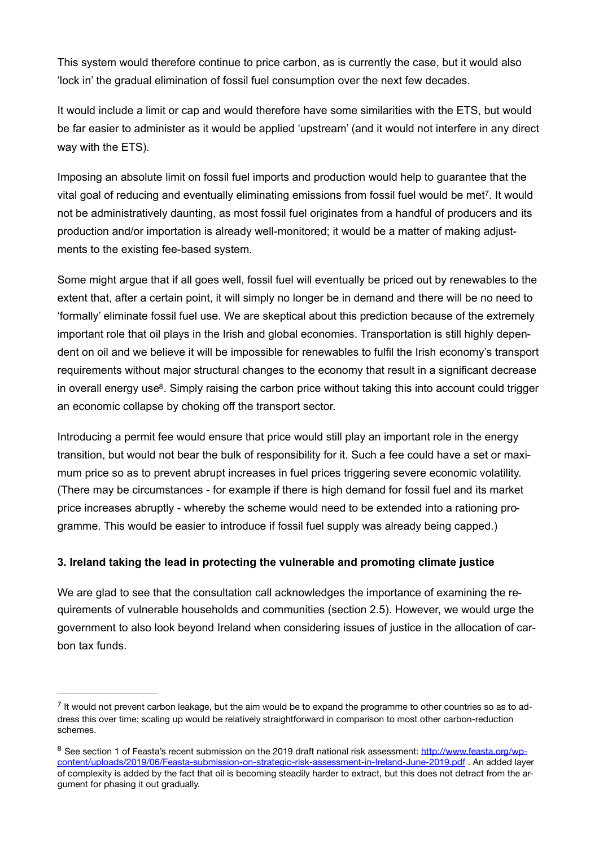This system would therefore continue to price carbon, as is currently the case, but it would also 'lock in' the gradual elimination of fossil fuel consumption over the next few decades.

It would include a limit or cap and would therefore have some similarities with the ETS, but would be far easier to administer as it would be applied 'upstream' (and it would not interfere in any direct way with the ETS).

<span id="page-3-2"></span>Imposing an absolute limit on fossil fuel imports and production would help to guarantee that the vital goal of reducing and eventually eliminating emissions from fossil fuel would be met<sup>[7](#page-3-0)</sup>. It would not be administratively daunting, as most fossil fuel originates from a handful of producers and its production and/or importation is already well-monitored; it would be a matter of making adjustments to the existing fee-based system.

Some might argue that if all goes well, fossil fuel will eventually be priced out by renewables to the extent that, after a certain point, it will simply no longer be in demand and there will be no need to 'formally' eliminate fossil fuel use. We are skeptical about this prediction because of the extremely important role that oil plays in the Irish and global economies. Transportation is still highly dependent on oil and we believe it will be impossible for renewables to fulfil the Irish economy's transport requirements without major structural changes to the economy that result in a significant decrease in overall energy use<sup>[8](#page-3-1)</sup>. Simply raising the carbon price without taking this into account could trigger an economic collapse by choking off the transport sector.

<span id="page-3-3"></span>Introducing a permit fee would ensure that price would still play an important role in the energy transition, but would not bear the bulk of responsibility for it. Such a fee could have a set or maximum price so as to prevent abrupt increases in fuel prices triggering severe economic volatility. (There may be circumstances - for example if there is high demand for fossil fuel and its market price increases abruptly - whereby the scheme would need to be extended into a rationing programme. This would be easier to introduce if fossil fuel supply was already being capped.)

#### **3. Ireland taking the lead in protecting the vulnerable and promoting climate justice**

We are glad to see that the consultation call acknowledges the importance of examining the requirements of vulnerable households and communities (section 2.5). However, we would urge the government to also look beyond Ireland when considering issues of justice in the allocation of carbon tax funds.

<span id="page-3-0"></span> $<sup>7</sup>$  $<sup>7</sup>$  $<sup>7</sup>$  It would not prevent carbon leakage, but the aim would be to expand the programme to other countries so as to ad-</sup> dress this over time; scaling up would be relatively straightforward in comparison to most other carbon-reduction schemes.

<span id="page-3-1"></span><sup>&</sup>lt;sup>8</sup> See section 1 of Feasta's recent submission on the 2019 draft national risk assessment: [http://www.feasta.org/wp](http://www.feasta.org/wp-content/uploads/2019/06/Feasta-submission-on-strategic-risk-assessment-in-Ireland-June-2019.pdf) [content/uploads/2019/06/Feasta-submission-on-strategic-risk-assessment-in-Ireland-June-2019.pdf . An added laye](http://www.feasta.org/wp-content/uploads/2019/06/Feasta-submission-on-strategic-risk-assessment-in-Ireland-June-2019.pdf)r of complexity is added by the fact that oil is becoming steadily harder to extract, but this does not detract from the argument for phasing it out gradually.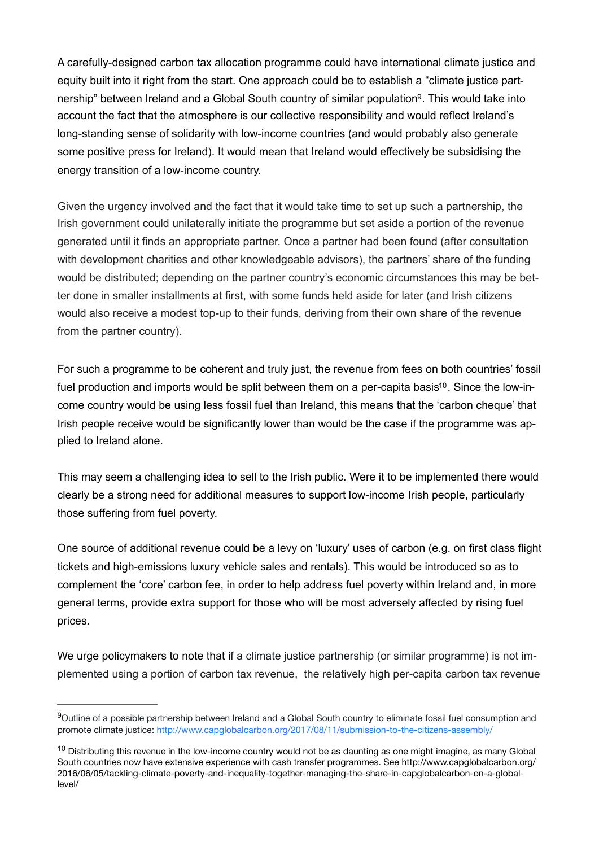<span id="page-4-2"></span>A carefully-designed carbon tax allocation programme could have international climate justice and equity built into it right from the start. One approach could be to establish a "climate justice part-nership" between Ireland and a Global South country of similar population<sup>[9](#page-4-0)</sup>. This would take into account the fact that the atmosphere is our collective responsibility and would reflect Ireland's long-standing sense of solidarity with low-income countries (and would probably also generate some positive press for Ireland). It would mean that Ireland would effectively be subsidising the energy transition of a low-income country.

Given the urgency involved and the fact that it would take time to set up such a partnership, the Irish government could unilaterally initiate the programme but set aside a portion of the revenue generated until it finds an appropriate partner. Once a partner had been found (after consultation with development charities and other knowledgeable advisors), the partners' share of the funding would be distributed; depending on the partner country's economic circumstances this may be better done in smaller installments at first, with some funds held aside for later (and Irish citizens would also receive a modest top-up to their funds, deriving from their own share of the revenue from the partner country).

<span id="page-4-3"></span>For such a programme to be coherent and truly just, the revenue from fees on both countries' fossil fuel production and imports would be split between them on a per-capita basis<sup>10</sup>. Since the low-income country would be using less fossil fuel than Ireland, this means that the 'carbon cheque' that Irish people receive would be significantly lower than would be the case if the programme was applied to Ireland alone.

This may seem a challenging idea to sell to the Irish public. Were it to be implemented there would clearly be a strong need for additional measures to support low-income Irish people, particularly those suffering from fuel poverty.

One source of additional revenue could be a levy on 'luxury' uses of carbon (e.g. on first class flight tickets and high-emissions luxury vehicle sales and rentals). This would be introduced so as to complement the 'core' carbon fee, in order to help address fuel poverty within Ireland and, in more general terms, provide extra support for those who will be most adversely affected by rising fuel prices.

We urge policymakers to note that if a climate justice partnership (or similar programme) is not implemented using a portion of carbon tax revenue, the relatively high per-capita carbon tax revenue

<span id="page-4-0"></span><sup>&</sup>lt;sup>[9](#page-4-2)</sup>Outline of a possible partnership between Ireland and a Global South country to eliminate fossil fuel consumption and promote climate justice: <http://www.capglobalcarbon.org/2017/08/11/submission-to-the-citizens-assembly/>

<span id="page-4-1"></span> $10$  Distributing this revenue in the low-income country would not be as daunting as one might imagine, as many Global South countries now have extensive experience with cash transfer programmes. See http://www.capglobalcarbon.org/ 2016/06/05/tackling-climate-poverty-and-inequality-together-managing-the-share-in-capglobalcarbon-on-a-globallevel/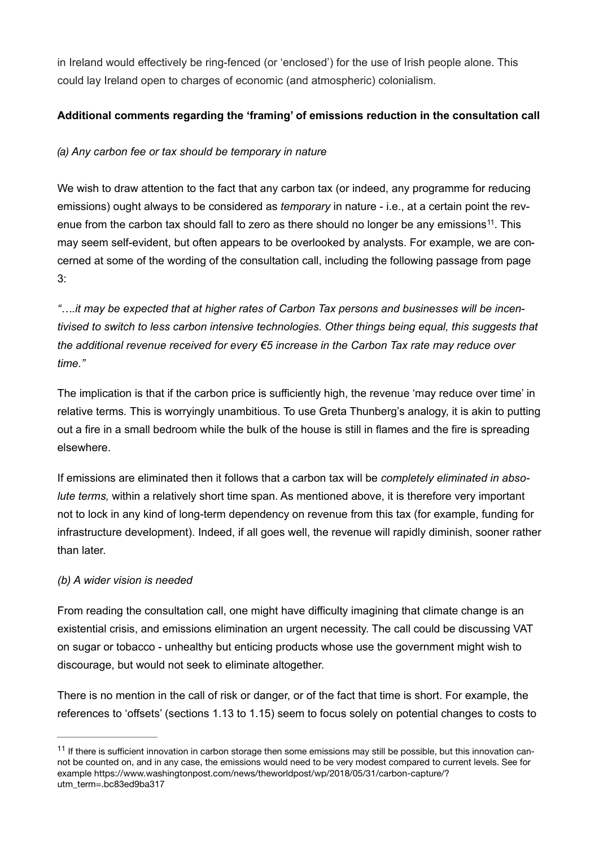in Ireland would effectively be ring-fenced (or 'enclosed') for the use of Irish people alone. This could lay Ireland open to charges of economic (and atmospheric) colonialism.

### **Additional comments regarding the 'framing' of emissions reduction in the consultation call**

## *(a) Any carbon fee or tax should be temporary in nature*

<span id="page-5-1"></span>We wish to draw attention to the fact that any carbon tax (or indeed, any programme for reducing emissions) ought always to be considered as *temporary* in nature - i.e., at a certain point the rev-enue from the carbon tax should fall to zero as there should no longer be any emissions<sup>[11](#page-5-0)</sup>. This may seem self-evident, but often appears to be overlooked by analysts. For example, we are concerned at some of the wording of the consultation call, including the following passage from page 3:

*"….it may be expected that at higher rates of Carbon Tax persons and businesses will be incentivised to switch to less carbon intensive technologies. Other things being equal, this suggests that the additional revenue received for every €5 increase in the Carbon Tax rate may reduce over time."* 

The implication is that if the carbon price is sufficiently high, the revenue 'may reduce over time' in relative terms*.* This is worryingly unambitious. To use Greta Thunberg's analogy, it is akin to putting out a fire in a small bedroom while the bulk of the house is still in flames and the fire is spreading elsewhere.

If emissions are eliminated then it follows that a carbon tax will be *completely eliminated in absolute terms,* within a relatively short time span. As mentioned above, it is therefore very important not to lock in any kind of long-term dependency on revenue from this tax (for example, funding for infrastructure development). Indeed, if all goes well, the revenue will rapidly diminish, sooner rather than later.

## *(b) A wider vision is needed*

From reading the consultation call, one might have difficulty imagining that climate change is an existential crisis, and emissions elimination an urgent necessity. The call could be discussing VAT on sugar or tobacco - unhealthy but enticing products whose use the government might wish to discourage, but would not seek to eliminate altogether.

There is no mention in the call of risk or danger, or of the fact that time is short. For example, the references to 'offsets' (sections 1.13 to 1.15) seem to focus solely on potential changes to costs to

<span id="page-5-0"></span> $11$  If there is sufficient innovation in carbon storage then some emissions may still be possible, but this innovation cannot be counted on, and in any case, the emissions would need to be very modest compared to current levels. See for example https://www.washingtonpost.com/news/theworldpost/wp/2018/05/31/carbon-capture/? utm\_term=.bc83ed9ba317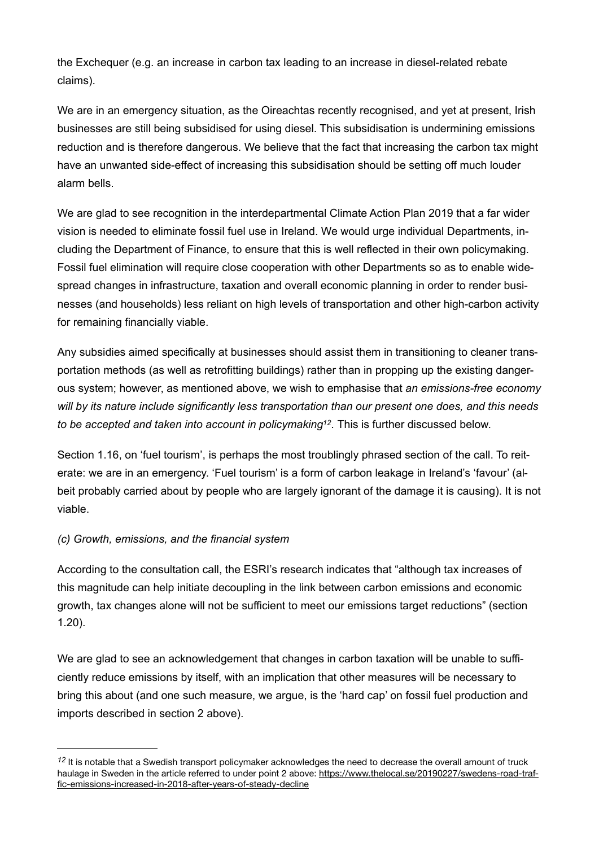the Exchequer (e.g. an increase in carbon tax leading to an increase in diesel-related rebate claims).

We are in an emergency situation, as the Oireachtas recently recognised, and yet at present, Irish businesses are still being subsidised for using diesel. This subsidisation is undermining emissions reduction and is therefore dangerous. We believe that the fact that increasing the carbon tax might have an unwanted side-effect of increasing this subsidisation should be setting off much louder alarm bells.

We are glad to see recognition in the interdepartmental Climate Action Plan 2019 that a far wider vision is needed to eliminate fossil fuel use in Ireland. We would urge individual Departments, including the Department of Finance, to ensure that this is well reflected in their own policymaking. Fossil fuel elimination will require close cooperation with other Departments so as to enable widespread changes in infrastructure, taxation and overall economic planning in order to render businesses (and households) less reliant on high levels of transportation and other high-carbon activity for remaining financially viable.

Any subsidies aimed specifically at businesses should assist them in transitioning to cleaner transportation methods (as well as retrofitting buildings) rather than in propping up the existing dangerous system; however, as mentioned above, we wish to emphasise that *an emissions-free economy will by its nature include significantly less transportation than our present one does, and this needs to be accepted and taken into account in policymaking<sup>[12](#page-6-0)</sup>. This is further discussed below.* 

<span id="page-6-1"></span>Section 1.16, on 'fuel tourism', is perhaps the most troublingly phrased section of the call. To reiterate: we are in an emergency. 'Fuel tourism' is a form of carbon leakage in Ireland's 'favour' (albeit probably carried about by people who are largely ignorant of the damage it is causing). It is not viable.

## *(c) Growth, emissions, and the financial system*

According to the consultation call, the ESRI's research indicates that "although tax increases of this magnitude can help initiate decoupling in the link between carbon emissions and economic growth, tax changes alone will not be sufficient to meet our emissions target reductions" (section 1.20).

We are glad to see an acknowledgement that changes in carbon taxation will be unable to sufficiently reduce emissions by itself, with an implication that other measures will be necessary to bring this about (and one such measure, we argue, is the 'hard cap' on fossil fuel production and imports described in section 2 above).

<span id="page-6-0"></span><sup>&</sup>lt;sup>[12](#page-6-1)</sup> It is notable that a Swedish transport policymaker acknowledges the need to decrease the overall amount of truck haulage in Sweden in the article referred to under point 2 above: [https://www.thelocal.se/20190227/swedens-road-traf](https://www.thelocal.se/20190227/swedens-road-traffic-emissions-increased-in-2018-after-years-of-steady-decline)[fic-emissions-increased-in-2018-after-years-of-steady-decline](https://www.thelocal.se/20190227/swedens-road-traffic-emissions-increased-in-2018-after-years-of-steady-decline)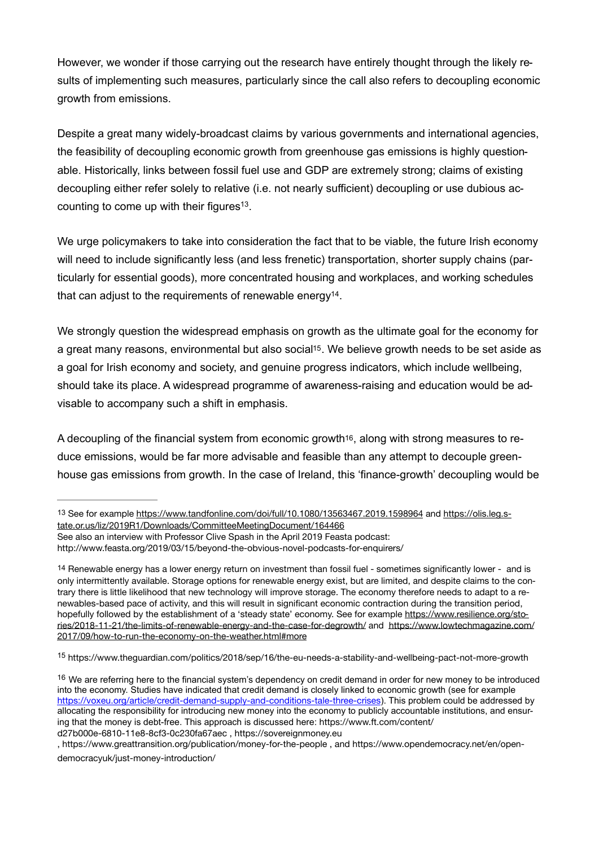However, we wonder if those carrying out the research have entirely thought through the likely results of implementing such measures, particularly since the call also refers to decoupling economic growth from emissions.

Despite a great many widely-broadcast claims by various governments and international agencies, the feasibility of decoupling economic growth from greenhouse gas emissions is highly questionable. Historically, links between fossil fuel use and GDP are extremely strong; claims of existing decoupling either refer solely to relative (i.e. not nearly sufficient) decoupling or use dubious accounting to come up with their figures<sup> $13$ </sup>.

<span id="page-7-4"></span>We urge policymakers to take into consideration the fact that to be viable, the future Irish economy will need to include significantly less (and less frenetic) transportation, shorter supply chains (particularly for essential goods), more concentrated housing and workplaces, and working schedules that can adjust to the requirements of renewable energy<sup>[14](#page-7-1)</sup>.

<span id="page-7-6"></span><span id="page-7-5"></span>We strongly question the widespread emphasis on growth as the ultimate goal for the economy for a great many reasons, environmental but also social<sup>15</sup>. We believe growth needs to be set aside as a goal for Irish economy and society, and genuine progress indicators, which include wellbeing, should take its place. A widespread programme of awareness-raising and education would be advisable to accompany such a shift in emphasis.

<span id="page-7-7"></span>A decoupling of the financial system from economic growt[h16](#page-7-3), along with strong measures to reduce emissions, would be far more advisable and feasible than any attempt to decouple greenhouse gas emissions from growth. In the case of Ireland, this 'finance-growth' decoupling would be

See also an interview with Professor Clive Spash in the April 2019 Feasta podcast:

http://www.feasta.org/2019/03/15/beyond-the-obvious-novel-podcasts-for-enquirers/

<span id="page-7-2"></span><sup>[15](#page-7-6)</sup> https://www.theguardian.com/politics/2018/sep/16/the-eu-needs-a-stability-and-wellbeing-pact-not-more-growth

<span id="page-7-0"></span>[<sup>13</sup>](#page-7-4) See for example<https://www.tandfonline.com/doi/full/10.1080/13563467.2019.1598964> and [https://olis.leg.s](https://olis.leg.state.or.us/liz/2019R1/Downloads/CommitteeMeetingDocument/164466)[tate.or.us/liz/2019R1/Downloads/CommitteeMeetingDocument/164466](https://olis.leg.state.or.us/liz/2019R1/Downloads/CommitteeMeetingDocument/164466)

<span id="page-7-1"></span>[<sup>14</sup>](#page-7-5) Renewable energy has a lower energy return on investment than fossil fuel - sometimes significantly lower - and is only intermittently available. Storage options for renewable energy exist, but are limited, and despite claims to the contrary there is little likelihood that new technology will improve storage. The economy therefore needs to adapt to a renewables-based pace of activity, and this will result in significant economic contraction during the transition period, hopefully followed by the establishment of a 'steady state' economy. See for example [https://www.resilience.org/sto](https://www.resilience.org/stories/2018-11-21/the-limits-of-renewable-energy-and-the-case-for-degrowth/)[ries/2018-11-21/the-limits-of-renewable-energy-and-the-case-for-degrowth/](https://www.resilience.org/stories/2018-11-21/the-limits-of-renewable-energy-and-the-case-for-degrowth/) and [https://www.lowtechmagazine.com/](https://www.lowtechmagazine.com/2017/09/how-to-run-the-economy-on-the-weather.html%23more) [2017/09/how-to-run-the-economy-on-the-weather.html#more](https://www.lowtechmagazine.com/2017/09/how-to-run-the-economy-on-the-weather.html%23more)

<span id="page-7-3"></span><sup>&</sup>lt;sup>[16](#page-7-7)</sup> We are referring here to the financial system's dependency on credit demand in order for new money to be introduced into the economy. Studies have indicated that credit demand is closely linked to economic growth (see for example <https://voxeu.org/article/credit-demand-supply-and-conditions-tale-three-crises>). This problem could be addressed by allocating the responsibility for introducing new money into the economy to publicly accountable institutions, and ensuring that the money is debt-free. This approach is discussed here: https://www.ft.com/content/ d27b000e-6810-11e8-8cf3-0c230fa67aec , https://sovereignmoney.eu

<sup>,</sup> https://www.greattransition.org/publication/money-for-the-people , and https://www.opendemocracy.net/en/opendemocracyuk/just-money-introduction/